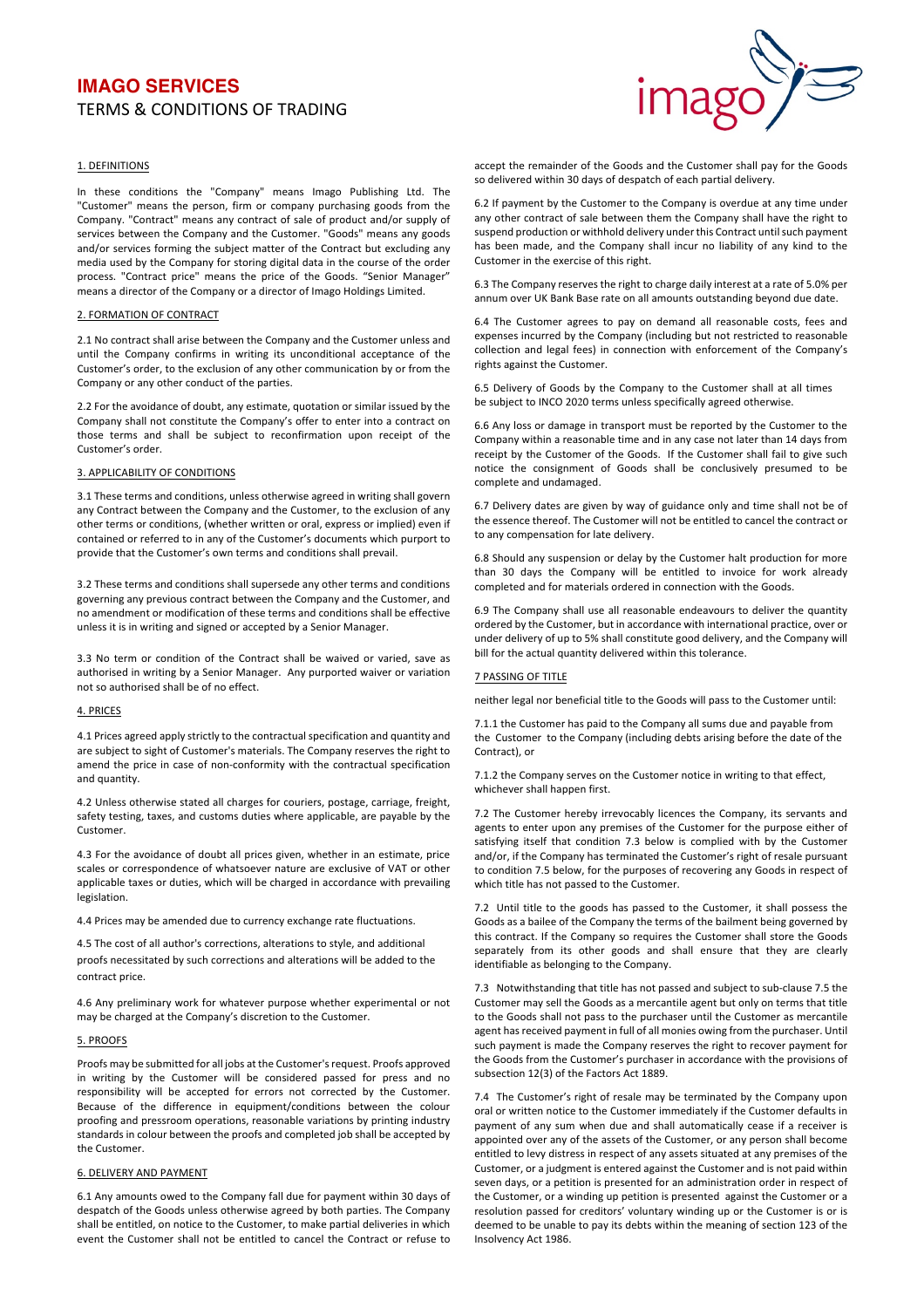# **IMAGO SERVICES TERMS & CONDITIONS OF TRADING**



# 1. DEFINITIONS

In these conditions the "Company" means Imago Publishing Ltd. The "Customer" means the person, firm or company purchasing goods from the Company. "Contract" means any contract of sale of product and/or supply of services between the Company and the Customer. "Goods" means any goods and/or services forming the subject matter of the Contract but excluding any media used by the Company for storing digital data in the course of the order process. "Contract price" means the price of the Goods. "Senior Manager" means a director of the Company or a director of Imago Holdings Limited.

## 2. FORMATION OF CONTRACT

2.1 No contract shall arise between the Company and the Customer unless and until the Company confirms in writing its unconditional acceptance of the Customer's order, to the exclusion of any other communication by or from the Company or any other conduct of the parties.

2.2 For the avoidance of doubt, any estimate, quotation or similar issued by the Company shall not constitute the Company's offer to enter into a contract on those terms and shall be subject to reconfirmation upon receipt of the Customer's order.

#### 3. APPLICABILITY OF CONDITIONS

3.1 These terms and conditions, unless otherwise agreed in writing shall govern any Contract between the Company and the Customer, to the exclusion of any other terms or conditions, (whether written or oral, express or implied) even if contained or referred to in any of the Customer's documents which purport to provide that the Customer's own terms and conditions shall prevail.

3.2 These terms and conditions shall supersede any other terms and conditions governing any previous contract between the Company and the Customer, and no amendment or modification of these terms and conditions shall be effective unless it is in writing and signed or accepted by a Senior Manager.

3.3 No term or condition of the Contract shall be waived or varied, save as authorised in writing by a Senior Manager. Any purported waiver or variation not so authorised shall be of no effect.

# 4. PRICES

4.1 Prices agreed apply strictly to the contractual specification and quantity and are subject to sight of Customer's materials. The Company reserves the right to amend the price in case of non-conformity with the contractual specification and quantity.

4.2 Unless otherwise stated all charges for couriers, postage, carriage, freight, safety testing, taxes, and customs duties where applicable, are payable by the Customer. 

4.3 For the avoidance of doubt all prices given, whether in an estimate, price scales or correspondence of whatsoever nature are exclusive of VAT or other applicable taxes or duties, which will be charged in accordance with prevailing legislation.

4.4 Prices may be amended due to currency exchange rate fluctuations.

4.5 The cost of all author's corrections, alterations to style, and additional proofs necessitated by such corrections and alterations will be added to the contract price.

4.6 Any preliminary work for whatever purpose whether experimental or not may be charged at the Company's discretion to the Customer.

#### 5. PROOFS

Proofs may be submitted for all jobs at the Customer's request. Proofs approved in writing by the Customer will be considered passed for press and no responsibility will be accepted for errors not corrected by the Customer. Because of the difference in equipment/conditions between the colour proofing and pressroom operations, reasonable variations by printing industry standards in colour between the proofs and completed iob shall be accepted by the Customer.

#### 6. DELIVERY AND PAYMENT

6.1 Any amounts owed to the Company fall due for payment within 30 days of despatch of the Goods unless otherwise agreed by both parties. The Company shall be entitled, on notice to the Customer, to make partial deliveries in which event the Customer shall not be entitled to cancel the Contract or refuse to  accept the remainder of the Goods and the Customer shall pay for the Goods so delivered within 30 days of despatch of each partial delivery.

6.2 If payment by the Customer to the Company is overdue at any time under any other contract of sale between them the Company shall have the right to suspend production or withhold delivery under this Contract until such payment has been made, and the Company shall incur no liability of any kind to the Customer in the exercise of this right.

6.3 The Company reserves the right to charge daily interest at a rate of 5.0% per annum over UK Bank Base rate on all amounts outstanding beyond due date.

6.4 The Customer agrees to pay on demand all reasonable costs, fees and expenses incurred by the Company (including but not restricted to reasonable collection and legal fees) in connection with enforcement of the Company's rights against the Customer.

6.5 Delivery of Goods by the Company to the Customer shall at all times be subiect to INCO 2020 terms unless specifically agreed otherwise.

6.6 Any loss or damage in transport must be reported by the Customer to the Company within a reasonable time and in any case not later than 14 days from receipt by the Customer of the Goods. If the Customer shall fail to give such notice the consignment of Goods shall be conclusively presumed to be complete and undamaged.

6.7 Delivery dates are given by way of guidance only and time shall not be of the essence thereof. The Customer will not be entitled to cancel the contract or to any compensation for late delivery.

6.8 Should any suspension or delay by the Customer halt production for more than 30 days the Company will be entitled to invoice for work already completed and for materials ordered in connection with the Goods.

6.9 The Company shall use all reasonable endeavours to deliver the quantity ordered by the Customer, but in accordance with international practice, over or under delivery of up to 5% shall constitute good delivery, and the Company will bill for the actual quantity delivered within this tolerance.

#### **7 PASSING OF TITLE**

neither legal nor beneficial title to the Goods will pass to the Customer until:

7.1.1 the Customer has paid to the Company all sums due and payable from the Customer to the Company (including debts arising before the date of the Contract), or

7.1.2 the Company serves on the Customer notice in writing to that effect, whichever shall happen first.

7.2 The Customer hereby irrevocably licences the Company, its servants and agents to enter upon any premises of the Customer for the purpose either of satisfying itself that condition 7.3 below is complied with by the Customer and/or, if the Company has terminated the Customer's right of resale pursuant to condition 7.5 below, for the purposes of recovering any Goods in respect of which title has not passed to the Customer.

7.2 Until title to the goods has passed to the Customer, it shall possess the Goods as a bailee of the Company the terms of the bailment being governed by this contract. If the Company so requires the Customer shall store the Goods separately from its other goods and shall ensure that they are clearly identifiable as belonging to the Company.

7.3 Notwithstanding that title has not passed and subject to sub-clause 7.5 the Customer may sell the Goods as a mercantile agent but only on terms that title to the Goods shall not pass to the purchaser until the Customer as mercantile agent has received payment in full of all monies owing from the purchaser. Until such payment is made the Company reserves the right to recover payment for the Goods from the Customer's purchaser in accordance with the provisions of subsection 12(3) of the Factors Act 1889.

7.4 The Customer's right of resale may be terminated by the Company upon oral or written notice to the Customer immediately if the Customer defaults in payment of any sum when due and shall automatically cease if a receiver is appointed over any of the assets of the Customer, or any person shall become entitled to levy distress in respect of any assets situated at any premises of the Customer, or a judgment is entered against the Customer and is not paid within seven days, or a petition is presented for an administration order in respect of the Customer, or a winding up petition is presented against the Customer or a resolution passed for creditors' voluntary winding up or the Customer is or is deemed to be unable to pay its debts within the meaning of section 123 of the Insolvency Act 1986.